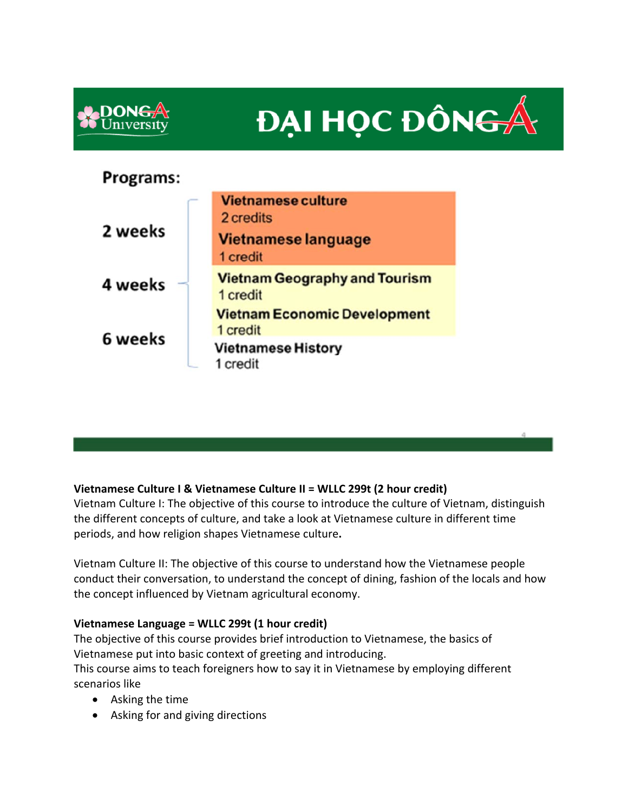

# **DAI HỌC ĐÔN<del>G</del>**

# Programs:



# **Vietnamese Culture I & Vietnamese Culture II = WLLC 299t (2 hour credit)**

Vietnam Culture I: The objective of this course to introduce the culture of Vietnam, distinguish the different concepts of culture, and take a look at Vietnamese culture in different time periods, and how religion shapes Vietnamese culture**.** 

Vietnam Culture II: The objective of this course to understand how the Vietnamese people conduct their conversation, to understand the concept of dining, fashion of the locals and how the concept influenced by Vietnam agricultural economy.

## **Vietnamese Language = WLLC 299t (1 hour credit)**

The objective of this course provides brief introduction to Vietnamese, the basics of Vietnamese put into basic context of greeting and introducing.

This course aims to teach foreigners how to say it in Vietnamese by employing different scenarios like

- Asking the time
- Asking for and giving directions